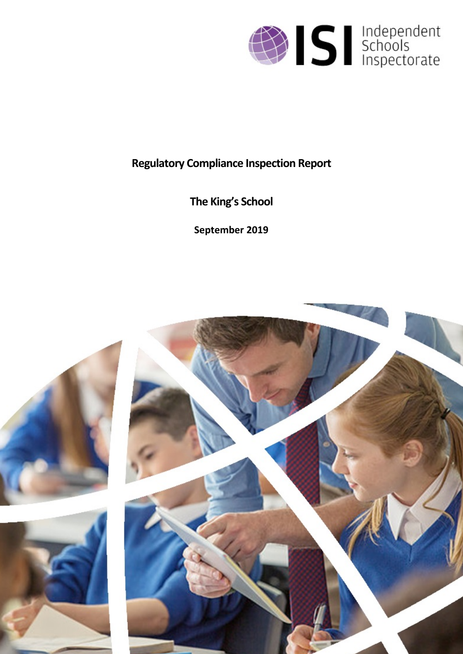

# **Regulatory Compliance Inspection Report**

**The King's School**

**September 2019**

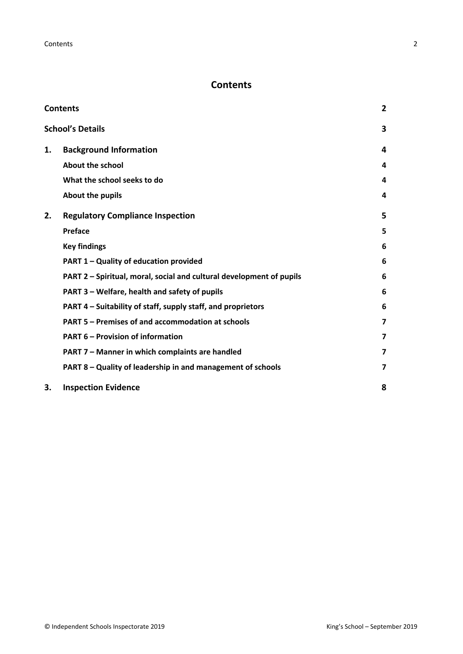## <span id="page-1-0"></span>**Contents**

| <b>Contents</b> |                                                                      |                         |
|-----------------|----------------------------------------------------------------------|-------------------------|
|                 | <b>School's Details</b>                                              | 3                       |
| 1.              | <b>Background Information</b>                                        | 4                       |
|                 | <b>About the school</b>                                              | 4                       |
|                 | What the school seeks to do                                          | 4                       |
|                 | About the pupils                                                     | 4                       |
| 2.              | <b>Regulatory Compliance Inspection</b>                              | 5                       |
|                 | <b>Preface</b>                                                       | 5                       |
|                 | <b>Key findings</b>                                                  | 6                       |
|                 | PART 1 - Quality of education provided                               | 6                       |
|                 | PART 2 - Spiritual, moral, social and cultural development of pupils | 6                       |
|                 | PART 3 – Welfare, health and safety of pupils                        | 6                       |
|                 | PART 4 – Suitability of staff, supply staff, and proprietors         | 6                       |
|                 | PART 5 - Premises of and accommodation at schools                    | $\overline{\mathbf{z}}$ |
|                 | <b>PART 6 - Provision of information</b>                             | $\overline{\mathbf{z}}$ |
|                 | PART 7 - Manner in which complaints are handled                      | $\overline{\mathbf{z}}$ |
|                 | PART 8 - Quality of leadership in and management of schools          | 7                       |
| 3.              | <b>Inspection Evidence</b>                                           | 8                       |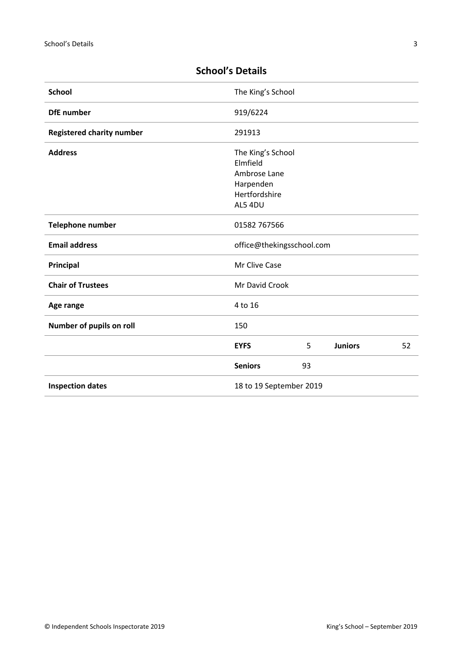| <b>School</b>                    | The King's School         |    |                |    |
|----------------------------------|---------------------------|----|----------------|----|
| <b>DfE</b> number                | 919/6224                  |    |                |    |
| <b>Registered charity number</b> | 291913                    |    |                |    |
| <b>Address</b>                   | The King's School         |    |                |    |
|                                  | Elmfield                  |    |                |    |
|                                  | Ambrose Lane              |    |                |    |
|                                  | Harpenden                 |    |                |    |
|                                  | Hertfordshire             |    |                |    |
|                                  | AL5 4DU                   |    |                |    |
| Telephone number                 | 01582 767566              |    |                |    |
| <b>Email address</b>             | office@thekingsschool.com |    |                |    |
| Principal                        | Mr Clive Case             |    |                |    |
| <b>Chair of Trustees</b>         | Mr David Crook            |    |                |    |
| Age range                        | 4 to 16                   |    |                |    |
| Number of pupils on roll         | 150                       |    |                |    |
|                                  | <b>EYFS</b>               | 5  | <b>Juniors</b> | 52 |
|                                  | <b>Seniors</b>            | 93 |                |    |
| <b>Inspection dates</b>          | 18 to 19 September 2019   |    |                |    |

# <span id="page-2-0"></span>**School's Details**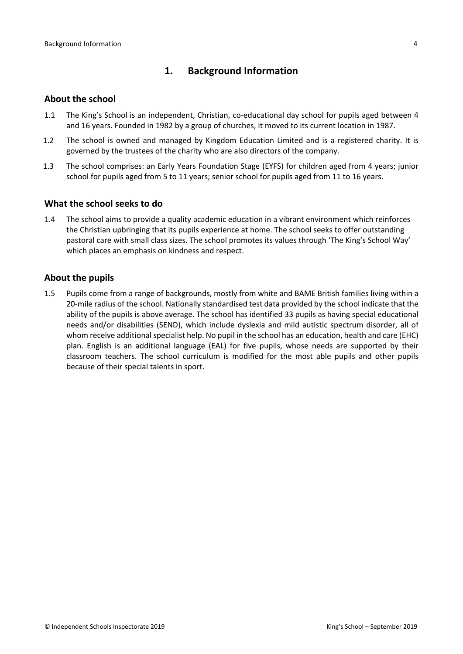## <span id="page-3-0"></span>**1. Background Information**

#### <span id="page-3-1"></span>**About the school**

- 1.1 The King's School is an independent, Christian, co-educational day school for pupils aged between 4 and 16 years. Founded in 1982 by a group of churches, it moved to its current location in 1987.
- 1.2 The school is owned and managed by Kingdom Education Limited and is a registered charity. It is governed by the trustees of the charity who are also directors of the company.
- 1.3 The school comprises: an Early Years Foundation Stage (EYFS) for children aged from 4 years; junior school for pupils aged from 5 to 11 years; senior school for pupils aged from 11 to 16 years.

#### <span id="page-3-2"></span>**What the school seeks to do**

1.4 The school aims to provide a quality academic education in a vibrant environment which reinforces the Christian upbringing that its pupils experience at home. The school seeks to offer outstanding pastoral care with small class sizes. The school promotes its values through 'The King's School Way' which places an emphasis on kindness and respect.

#### <span id="page-3-3"></span>**About the pupils**

1.5 Pupils come from a range of backgrounds, mostly from white and BAME British families living within a 20-mile radius of the school. Nationally standardised test data provided by the school indicate that the ability of the pupils is above average. The school has identified 33 pupils as having special educational needs and/or disabilities (SEND), which include dyslexia and mild autistic spectrum disorder, all of whom receive additional specialist help. No pupil in the school has an education, health and care (EHC) plan. English is an additional language (EAL) for five pupils, whose needs are supported by their classroom teachers. The school curriculum is modified for the most able pupils and other pupils because of their special talents in sport.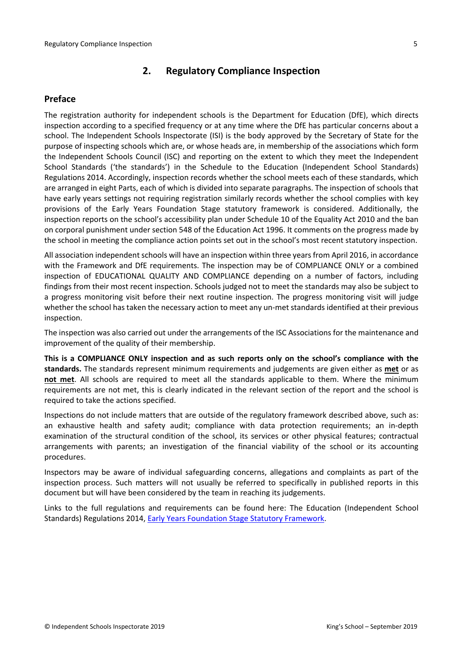## <span id="page-4-0"></span>**2. Regulatory Compliance Inspection**

#### <span id="page-4-1"></span>**Preface**

The registration authority for independent schools is the Department for Education (DfE), which directs inspection according to a specified frequency or at any time where the DfE has particular concerns about a school. The Independent Schools Inspectorate (ISI) is the body approved by the Secretary of State for the purpose of inspecting schools which are, or whose heads are, in membership of the associations which form the Independent Schools Council (ISC) and reporting on the extent to which they meet the Independent School Standards ('the standards') in the Schedule to the Education (Independent School Standards) Regulations 2014. Accordingly, inspection records whether the school meets each of these standards, which are arranged in eight Parts, each of which is divided into separate paragraphs. The inspection of schools that have early years settings not requiring registration similarly records whether the school complies with key provisions of the Early Years Foundation Stage statutory framework is considered. Additionally, the inspection reports on the school's accessibility plan under Schedule 10 of the Equality Act 2010 and the ban on corporal punishment under section 548 of the Education Act 1996. It comments on the progress made by the school in meeting the compliance action points set out in the school's most recent statutory inspection.

All association independent schools will have an inspection within three years from April 2016, in accordance with the Framework and DfE requirements. The inspection may be of COMPLIANCE ONLY or a combined inspection of EDUCATIONAL QUALITY AND COMPLIANCE depending on a number of factors, including findings from their most recent inspection. Schools judged not to meet the standards may also be subject to a progress monitoring visit before their next routine inspection. The progress monitoring visit will judge whether the school has taken the necessary action to meet any un-met standards identified at their previous inspection.

The inspection was also carried out under the arrangements of the ISC Associations for the maintenance and improvement of the quality of their membership.

**This is a COMPLIANCE ONLY inspection and as such reports only on the school's compliance with the standards.** The standards represent minimum requirements and judgements are given either as **met** or as **not met**. All schools are required to meet all the standards applicable to them. Where the minimum requirements are not met, this is clearly indicated in the relevant section of the report and the school is required to take the actions specified.

Inspections do not include matters that are outside of the regulatory framework described above, such as: an exhaustive health and safety audit; compliance with data protection requirements; an in-depth examination of the structural condition of the school, its services or other physical features; contractual arrangements with parents; an investigation of the financial viability of the school or its accounting procedures.

Inspectors may be aware of individual safeguarding concerns, allegations and complaints as part of the inspection process. Such matters will not usually be referred to specifically in published reports in this document but will have been considered by the team in reaching its judgements.

Links to the full regulations and requirements can be found here: The Education (Independent School Standards) Regulations 2014, Early Years Foundation Stage Statutory [Framework.](https://www.gov.uk/government/publications/early-years-foundation-stage-framework--2)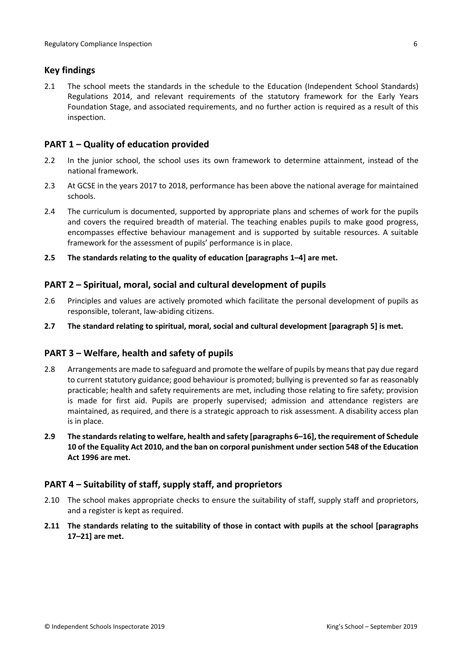## <span id="page-5-0"></span>**Key findings**

2.1 The school meets the standards in the schedule to the Education (Independent School Standards) Regulations 2014, and relevant requirements of the statutory framework for the Early Years Foundation Stage, and associated requirements, and no further action is required as a result of this inspection.

## <span id="page-5-1"></span>**PART 1 – Quality of education provided**

- 2.2 In the junior school, the school uses its own framework to determine attainment, instead of the national framework.
- 2.3 At GCSE in the years 2017 to 2018, performance has been above the national average for maintained schools.
- 2.4 The curriculum is documented, supported by appropriate plans and schemes of work for the pupils and covers the required breadth of material. The teaching enables pupils to make good progress, encompasses effective behaviour management and is supported by suitable resources. A suitable framework for the assessment of pupils' performance is in place.
- **2.5 The standards relating to the quality of education [paragraphs 1–4] are met.**

## <span id="page-5-2"></span>**PART 2 – Spiritual, moral, social and cultural development of pupils**

- 2.6 Principles and values are actively promoted which facilitate the personal development of pupils as responsible, tolerant, law-abiding citizens.
- **2.7 The standard relating to spiritual, moral, social and cultural development [paragraph 5] is met.**

#### <span id="page-5-3"></span>**PART 3 – Welfare, health and safety of pupils**

- 2.8 Arrangements are made to safeguard and promote the welfare of pupils by means that pay due regard to current statutory guidance; good behaviour is promoted; bullying is prevented so far as reasonably practicable; health and safety requirements are met, including those relating to fire safety; provision is made for first aid. Pupils are properly supervised; admission and attendance registers are maintained, as required, and there is a strategic approach to risk assessment. A disability access plan is in place.
- **2.9 The standardsrelating to welfare, health and safety [paragraphs 6–16], the requirement of Schedule 10 of the Equality Act 2010, and the ban on corporal punishment undersection 548 of the Education Act 1996 are met.**

#### <span id="page-5-4"></span>**PART 4 – Suitability of staff, supply staff, and proprietors**

- 2.10 The school makes appropriate checks to ensure the suitability of staff, supply staff and proprietors, and a register is kept as required.
- **2.11 The standards relating to the suitability of those in contact with pupils at the school [paragraphs 17–21] are met.**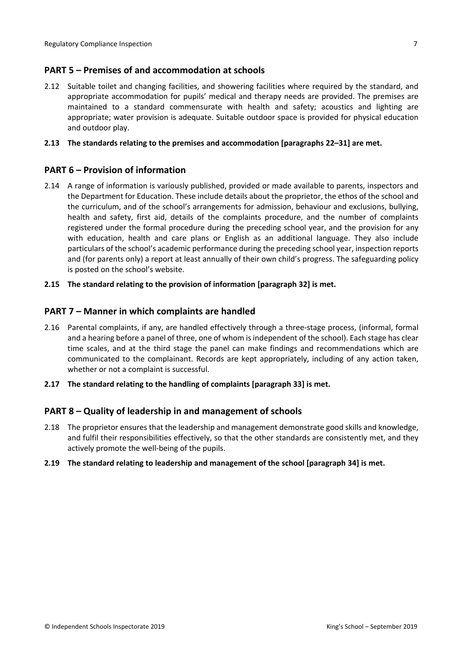## <span id="page-6-0"></span>**PART 5 – Premises of and accommodation at schools**

2.12 Suitable toilet and changing facilities, and showering facilities where required by the standard, and appropriate accommodation for pupils' medical and therapy needs are provided. The premises are maintained to a standard commensurate with health and safety; acoustics and lighting are appropriate; water provision is adequate. Suitable outdoor space is provided for physical education and outdoor play.

#### **2.13 The standards relating to the premises and accommodation [paragraphs 22–31] are met.**

#### <span id="page-6-1"></span>**PART 6 – Provision of information**

- 2.14 A range of information is variously published, provided or made available to parents, inspectors and the Department for Education. These include details about the proprietor, the ethos of the school and the curriculum, and of the school's arrangements for admission, behaviour and exclusions, bullying, health and safety, first aid, details of the complaints procedure, and the number of complaints registered under the formal procedure during the preceding school year, and the provision for any with education, health and care plans or English as an additional language. They also include particulars of the school's academic performance during the preceding school year, inspection reports and (for parents only) a report at least annually of their own child's progress. The safeguarding policy is posted on the school's website.
- **2.15 The standard relating to the provision of information [paragraph 32] is met.**

#### <span id="page-6-2"></span>**PART 7 – Manner in which complaints are handled**

- 2.16 Parental complaints, if any, are handled effectively through a three-stage process, (informal, formal and a hearing before a panel of three, one of whom is independent of the school). Each stage has clear time scales, and at the third stage the panel can make findings and recommendations which are communicated to the complainant. Records are kept appropriately, including of any action taken, whether or not a complaint is successful.
- **2.17 The standard relating to the handling of complaints [paragraph 33] is met.**

#### <span id="page-6-3"></span>**PART 8 – Quality of leadership in and management of schools**

- 2.18 The proprietor ensures that the leadership and management demonstrate good skills and knowledge, and fulfil their responsibilities effectively, so that the other standards are consistently met, and they actively promote the well-being of the pupils.
- **2.19 The standard relating to leadership and management of the school [paragraph 34] is met.**